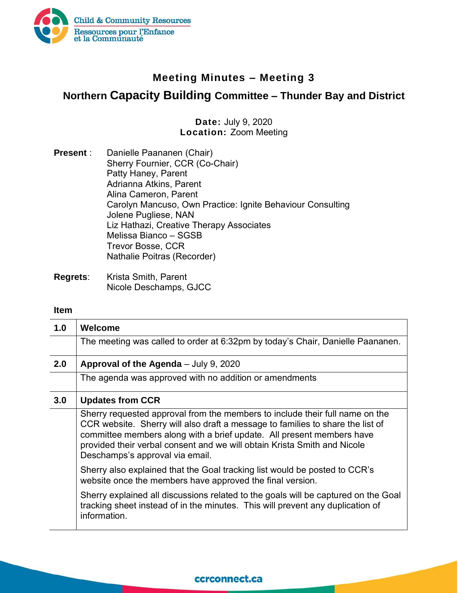

## **Meeting Minutes – Meeting 3**

# **Northern Capacity Building Committee – Thunder Bay and District**

### **Date:** July 9, 2020 **Location:** Zoom Meeting

| <b>Present:</b> | Danielle Paananen (Chair)                                  |
|-----------------|------------------------------------------------------------|
|                 | Sherry Fournier, CCR (Co-Chair)                            |
|                 | Patty Haney, Parent                                        |
|                 | Adrianna Atkins, Parent                                    |
|                 | Alina Cameron, Parent                                      |
|                 | Carolyn Mancuso, Own Practice: Ignite Behaviour Consulting |
|                 | Jolene Pugliese, NAN                                       |
|                 | Liz Hathazi, Creative Therapy Associates                   |
|                 | Melissa Bianco - SGSB                                      |
|                 | <b>Trevor Bosse, CCR</b>                                   |
|                 | Nathalie Poitras (Recorder)                                |
|                 |                                                            |

**Regrets**: Krista Smith, Parent Nicole Deschamps, GJCC

#### **Item**

| 1.0 | Welcome                                                                                                                                                                                                                                                                                                                                                |
|-----|--------------------------------------------------------------------------------------------------------------------------------------------------------------------------------------------------------------------------------------------------------------------------------------------------------------------------------------------------------|
|     | The meeting was called to order at 6:32pm by today's Chair, Danielle Paananen.                                                                                                                                                                                                                                                                         |
| 2.0 | Approval of the Agenda - July 9, 2020                                                                                                                                                                                                                                                                                                                  |
|     | The agenda was approved with no addition or amendments                                                                                                                                                                                                                                                                                                 |
| 3.0 | <b>Updates from CCR</b>                                                                                                                                                                                                                                                                                                                                |
|     | Sherry requested approval from the members to include their full name on the<br>CCR website. Sherry will also draft a message to families to share the list of<br>committee members along with a brief update. All present members have<br>provided their verbal consent and we will obtain Krista Smith and Nicole<br>Deschamps's approval via email. |
|     | Sherry also explained that the Goal tracking list would be posted to CCR's<br>website once the members have approved the final version.                                                                                                                                                                                                                |
|     | Sherry explained all discussions related to the goals will be captured on the Goal<br>tracking sheet instead of in the minutes. This will prevent any duplication of<br>information.                                                                                                                                                                   |

### ccrconnect.ca